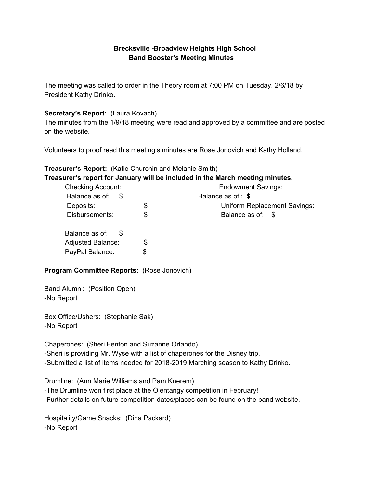### **Brecksville -Broadview Heights High School Band Booster's Meeting Minutes**

The meeting was called to order in the Theory room at 7:00 PM on Tuesday, 2/6/18 by President Kathy Drinko.

## **Secretary's Report:** (Laura Kovach)

The minutes from the 1/9/18 meeting were read and approved by a committee and are posted on the website.

Volunteers to proof read this meeting's minutes are Rose Jonovich and Kathy Holland.

# **Treasurer's Report:** (Katie Churchin and Melanie Smith)

**Treasurer's report for January will be included in the March meeting minutes.**

| <b>Checking Account:</b> | <b>Endowment Savings:</b>                 |
|--------------------------|-------------------------------------------|
| Balance as of: \$        | Balance as of : \$                        |
| Deposits:                | \$<br><b>Uniform Replacement Savings:</b> |
| Disbursements:           | \$<br>Balance as of: \$                   |
| Balance as of: \$        |                                           |
| <b>Adjusted Balance:</b> | \$                                        |
| PayPal Balance:          | \$                                        |

## **Program Committee Reports:** (Rose Jonovich)

Band Alumni: (Position Open) -No Report

Box Office/Ushers: (Stephanie Sak) -No Report

Chaperones: (Sheri Fenton and Suzanne Orlando) -Sheri is providing Mr. Wyse with a list of chaperones for the Disney trip. -Submitted a list of items needed for 2018-2019 Marching season to Kathy Drinko.

Drumline: (Ann Marie Williams and Pam Knerem) -The Drumline won first place at the Olentangy competition in February! -Further details on future competition dates/places can be found on the band website.

Hospitality/Game Snacks: (Dina Packard) -No Report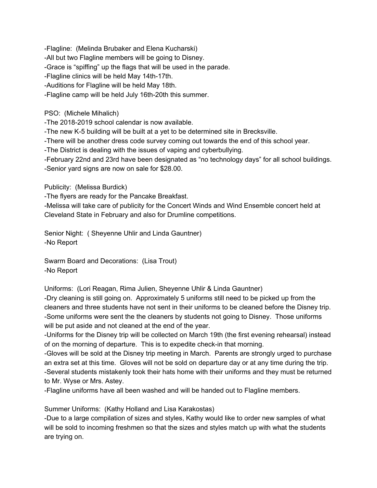-Flagline: (Melinda Brubaker and Elena Kucharski) -All but two Flagline members will be going to Disney. -Grace is "spiffing" up the flags that will be used in the parade. -Flagline clinics will be held May 14th-17th. -Auditions for Flagline will be held May 18th. -Flagline camp will be held July 16th-20th this summer.

PSO: (Michele Mihalich)

-The 2018-2019 school calendar is now available.

-The new K-5 building will be built at a yet to be determined site in Brecksville.

-There will be another dress code survey coming out towards the end of this school year.

-The District is dealing with the issues of vaping and cyberbullying.

-February 22nd and 23rd have been designated as "no technology days" for all school buildings. -Senior yard signs are now on sale for \$28.00.

Publicity: (Melissa Burdick)

-The flyers are ready for the Pancake Breakfast.

-Melissa will take care of publicity for the Concert Winds and Wind Ensemble concert held at Cleveland State in February and also for Drumline competitions.

Senior Night: ( Sheyenne Uhlir and Linda Gauntner) -No Report

Swarm Board and Decorations: (Lisa Trout) -No Report

Uniforms: (Lori Reagan, Rima Julien, Sheyenne Uhlir & Linda Gauntner)

-Dry cleaning is still going on. Approximately 5 uniforms still need to be picked up from the cleaners and three students have not sent in their uniforms to be cleaned before the Disney trip. -Some uniforms were sent the the cleaners by students not going to Disney. Those uniforms will be put aside and not cleaned at the end of the year.

-Uniforms for the Disney trip will be collected on March 19th (the first evening rehearsal) instead of on the morning of departure. This is to expedite check-in that morning.

-Gloves will be sold at the Disney trip meeting in March. Parents are strongly urged to purchase an extra set at this time. Gloves will not be sold on departure day or at any time during the trip. -Several students mistakenly took their hats home with their uniforms and they must be returned to Mr. Wyse or Mrs. Astey.

-Flagline uniforms have all been washed and will be handed out to Flagline members.

Summer Uniforms: (Kathy Holland and Lisa Karakostas)

-Due to a large compilation of sizes and styles, Kathy would like to order new samples of what will be sold to incoming freshmen so that the sizes and styles match up with what the students are trying on.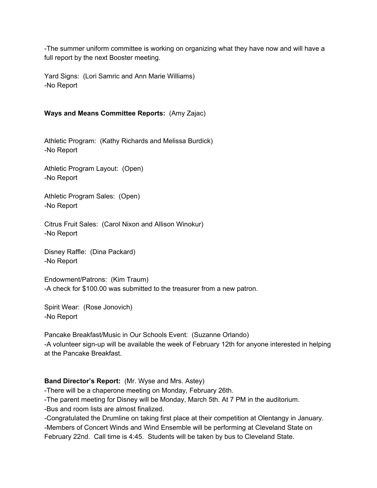-The summer uniform committee is working on organizing what they have now and will have a full report by the next Booster meeting.

Yard Signs: (Lori Samric and Ann Marie Williams) -No Report

## **Ways and Means Committee Reports:** (Amy Zajac)

Athletic Program: (Kathy Richards and Melissa Burdick) -No Report

Athletic Program Layout: (Open) -No Report

Athletic Program Sales: (Open) -No Report

Citrus Fruit Sales: (Carol Nixon and Allison Winokur) -No Report

Disney Raffle: (Dina Packard) -No Report

Endowment/Patrons: (Kim Traum) -A check for \$100.00 was submitted to the treasurer from a new patron.

Spirit Wear: (Rose Jonovich) -No Report

Pancake Breakfast/Music in Our Schools Event: (Suzanne Orlando) -A volunteer sign-up will be available the week of February 12th for anyone interested in helping at the Pancake Breakfast.

#### **Band Director's Report:** (Mr. Wyse and Mrs. Astey)

-There will be a chaperone meeting on Monday, February 26th.

-The parent meeting for Disney will be Monday, March 5th. At 7 PM in the auditorium.

-Bus and room lists are almost finalized.

-Congratulated the Drumline on taking first place at their competition at Olentangy in January. -Members of Concert Winds and Wind Ensemble will be performing at Cleveland State on February 22nd. Call time is 4:45. Students will be taken by bus to Cleveland State.